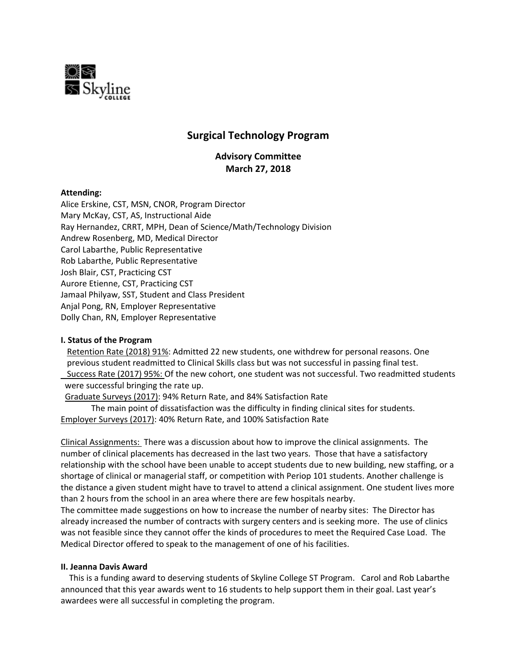

# **Surgical Technology Program**

**Advisory Committee March 27, 2018**

## **Attending:**

Alice Erskine, CST, MSN, CNOR, Program Director Mary McKay, CST, AS, Instructional Aide Ray Hernandez, CRRT, MPH, Dean of Science/Math/Technology Division Andrew Rosenberg, MD, Medical Director Carol Labarthe, Public Representative Rob Labarthe, Public Representative Josh Blair, CST, Practicing CST Aurore Etienne, CST, Practicing CST Jamaal Philyaw, SST, Student and Class President Anjal Pong, RN, Employer Representative Dolly Chan, RN, Employer Representative

### **I. Status of the Program**

Retention Rate (2018) 91%: Admitted 22 new students, one withdrew for personal reasons. One previous student readmitted to Clinical Skills class but was not successful in passing final test. Success Rate (2017) 95%: Of the new cohort, one student was not successful. Two readmitted students were successful bringing the rate up.

Graduate Surveys (2017): 94% Return Rate, and 84% Satisfaction Rate

The main point of dissatisfaction was the difficulty in finding clinical sites for students. Employer Surveys (2017): 40% Return Rate, and 100% Satisfaction Rate

Clinical Assignments: There was a discussion about how to improve the clinical assignments. The number of clinical placements has decreased in the last two years. Those that have a satisfactory relationship with the school have been unable to accept students due to new building, new staffing, or a shortage of clinical or managerial staff, or competition with Periop 101 students. Another challenge is the distance a given student might have to travel to attend a clinical assignment. One student lives more than 2 hours from the school in an area where there are few hospitals nearby.

The committee made suggestions on how to increase the number of nearby sites: The Director has already increased the number of contracts with surgery centers and is seeking more. The use of clinics was not feasible since they cannot offer the kinds of procedures to meet the Required Case Load. The Medical Director offered to speak to the management of one of his facilities.

### **II. Jeanna Davis Award**

 This is a funding award to deserving students of Skyline College ST Program. Carol and Rob Labarthe announced that this year awards went to 16 students to help support them in their goal. Last year's awardees were all successful in completing the program.